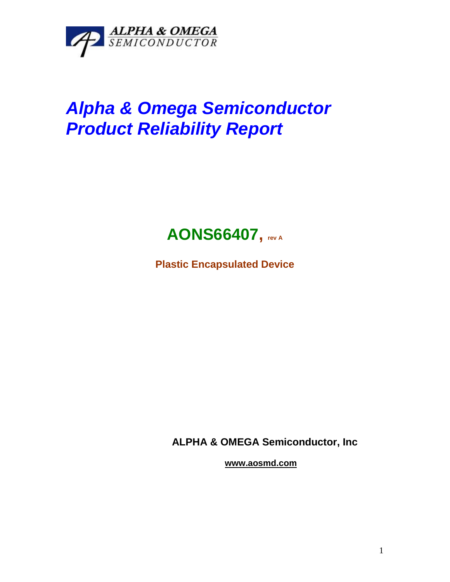

## *Alpha & Omega Semiconductor Product Reliability Report*



**Plastic Encapsulated Device**

**ALPHA & OMEGA Semiconductor, Inc**

**www.aosmd.com**